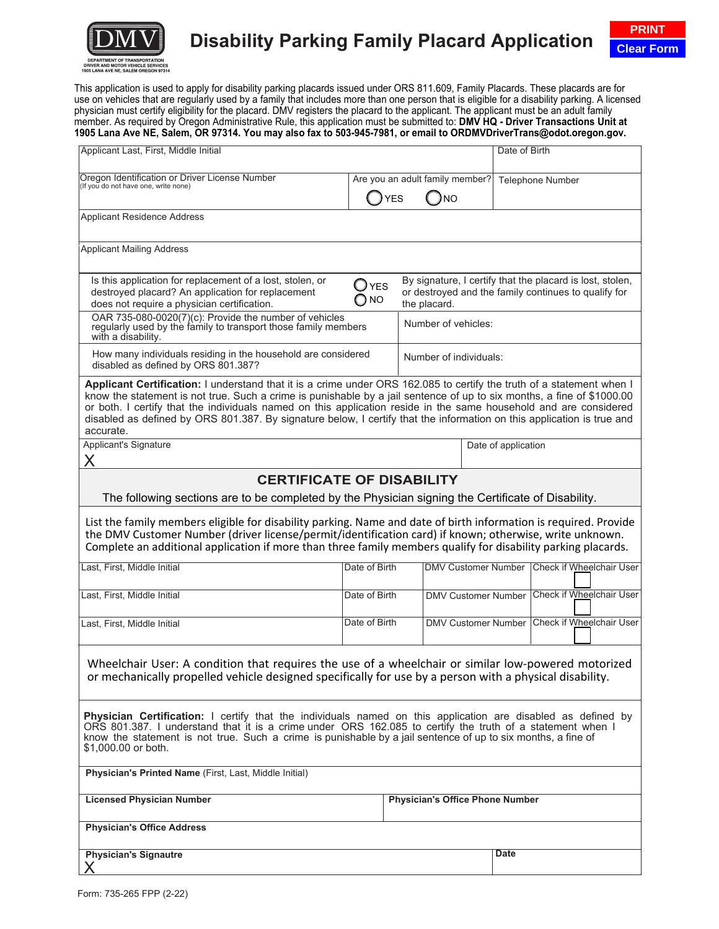

# **Disability Parking Family Placard Application**

This application is used to apply for disability parking placards issued under ORS 811.609, Family Placards. These placards are for use on vehicles that are regularly used by a family that includes more than one person that is eligible for a disability parking. A licensed physician must certify eligibility for the placard. DMV registers the placard to the applicant. The applicant must be an adult family member. As required by Oregon Administrative Rule, this application must be submitted to: **DMV HQ - Driver Transactions Unit at 1905 Lana Ave NE, Salem, OR 97314. You may also fax to 503-945-7981, or email to ORDMVDriverTrans@odot.oregon.gov.**

| Applicant Last, First, Middle Initial                                                                                                                                                                                                                                                                                                                                                                                                                                                                       |                                             |                                        |                                                                                                                   |                     | Date of Birth                                |  |
|-------------------------------------------------------------------------------------------------------------------------------------------------------------------------------------------------------------------------------------------------------------------------------------------------------------------------------------------------------------------------------------------------------------------------------------------------------------------------------------------------------------|---------------------------------------------|----------------------------------------|-------------------------------------------------------------------------------------------------------------------|---------------------|----------------------------------------------|--|
|                                                                                                                                                                                                                                                                                                                                                                                                                                                                                                             |                                             | Are you an adult family member?        |                                                                                                                   |                     | Telephone Number                             |  |
| Oregon Identification or Driver License Number<br>(If you do not have one, write none)                                                                                                                                                                                                                                                                                                                                                                                                                      | <b>YES</b>                                  | <b>NO</b>                              |                                                                                                                   |                     |                                              |  |
| <b>Applicant Residence Address</b>                                                                                                                                                                                                                                                                                                                                                                                                                                                                          |                                             |                                        |                                                                                                                   |                     |                                              |  |
| <b>Applicant Mailing Address</b>                                                                                                                                                                                                                                                                                                                                                                                                                                                                            |                                             |                                        |                                                                                                                   |                     |                                              |  |
|                                                                                                                                                                                                                                                                                                                                                                                                                                                                                                             |                                             |                                        |                                                                                                                   |                     |                                              |  |
| Is this application for replacement of a lost, stolen, or<br>destroyed placard? An application for replacement<br>does not require a physician certification.                                                                                                                                                                                                                                                                                                                                               | $\Box$ YES<br>$\bigcirc$ NO<br>the placard. |                                        | By signature, I certify that the placard is lost, stolen,<br>or destroyed and the family continues to qualify for |                     |                                              |  |
| OAR 735-080-0020(7)(c): Provide the number of vehicles<br>regularly used by the family to transport those family members<br>with a disability.                                                                                                                                                                                                                                                                                                                                                              |                                             | Number of vehicles:                    |                                                                                                                   |                     |                                              |  |
| How many individuals residing in the household are considered<br>disabled as defined by ORS 801.387?                                                                                                                                                                                                                                                                                                                                                                                                        |                                             | Number of individuals:                 |                                                                                                                   |                     |                                              |  |
| Applicant Certification: I understand that it is a crime under ORS 162.085 to certify the truth of a statement when I<br>know the statement is not true. Such a crime is punishable by a jail sentence of up to six months, a fine of \$1000.00<br>or both. I certify that the individuals named on this application reside in the same household and are considered<br>disabled as defined by ORS 801.387. By signature below, I certify that the information on this application is true and<br>accurate. |                                             |                                        |                                                                                                                   |                     |                                              |  |
| <b>Applicant's Signature</b><br>X                                                                                                                                                                                                                                                                                                                                                                                                                                                                           |                                             |                                        |                                                                                                                   | Date of application |                                              |  |
| <b>CERTIFICATE OF DISABILITY</b>                                                                                                                                                                                                                                                                                                                                                                                                                                                                            |                                             |                                        |                                                                                                                   |                     |                                              |  |
| The following sections are to be completed by the Physician signing the Certificate of Disability.                                                                                                                                                                                                                                                                                                                                                                                                          |                                             |                                        |                                                                                                                   |                     |                                              |  |
| List the family members eligible for disability parking. Name and date of birth information is required. Provide<br>the DMV Customer Number (driver license/permit/identification card) if known; otherwise, write unknown.<br>Complete an additional application if more than three family members qualify for disability parking placards.                                                                                                                                                                |                                             |                                        |                                                                                                                   |                     |                                              |  |
| Last, First, Middle Initial                                                                                                                                                                                                                                                                                                                                                                                                                                                                                 | Date of Birth                               |                                        |                                                                                                                   |                     | DMV Customer Number Check if Wheelchair User |  |
| Last, First, Middle Initial                                                                                                                                                                                                                                                                                                                                                                                                                                                                                 | Date of Birth                               | <b>DMV Customer Number</b>             |                                                                                                                   |                     | Check if Wheelchair User                     |  |
| Last, First, Middle Initial                                                                                                                                                                                                                                                                                                                                                                                                                                                                                 | Date of Birth                               |                                        | <b>DMV Customer Number</b>                                                                                        |                     | Check if Wheelchair User                     |  |
| Wheelchair User: A condition that requires the use of a wheelchair or similar low-powered motorized<br>or mechanically propelled vehicle designed specifically for use by a person with a physical disability.                                                                                                                                                                                                                                                                                              |                                             |                                        |                                                                                                                   |                     |                                              |  |
| Physician Certification: I certify that the individuals named on this application are disabled as defined by<br>ORS 801.387. I understand that it is a crime under ORS 162.085 to certify the truth of a statement when I<br>know the statement is not true. Such a crime is punishable by a jail sentence of up to six months, a fine of<br>\$1,000.00 or both.                                                                                                                                            |                                             |                                        |                                                                                                                   |                     |                                              |  |
| Physician's Printed Name (First, Last, Middle Initial)                                                                                                                                                                                                                                                                                                                                                                                                                                                      |                                             |                                        |                                                                                                                   |                     |                                              |  |
| <b>Licensed Physician Number</b>                                                                                                                                                                                                                                                                                                                                                                                                                                                                            |                                             | <b>Physician's Office Phone Number</b> |                                                                                                                   |                     |                                              |  |
| <b>Physician's Office Address</b>                                                                                                                                                                                                                                                                                                                                                                                                                                                                           |                                             |                                        |                                                                                                                   |                     |                                              |  |
| <b>Physician's Signautre</b>                                                                                                                                                                                                                                                                                                                                                                                                                                                                                |                                             |                                        |                                                                                                                   | Date                |                                              |  |
|                                                                                                                                                                                                                                                                                                                                                                                                                                                                                                             |                                             |                                        |                                                                                                                   |                     |                                              |  |